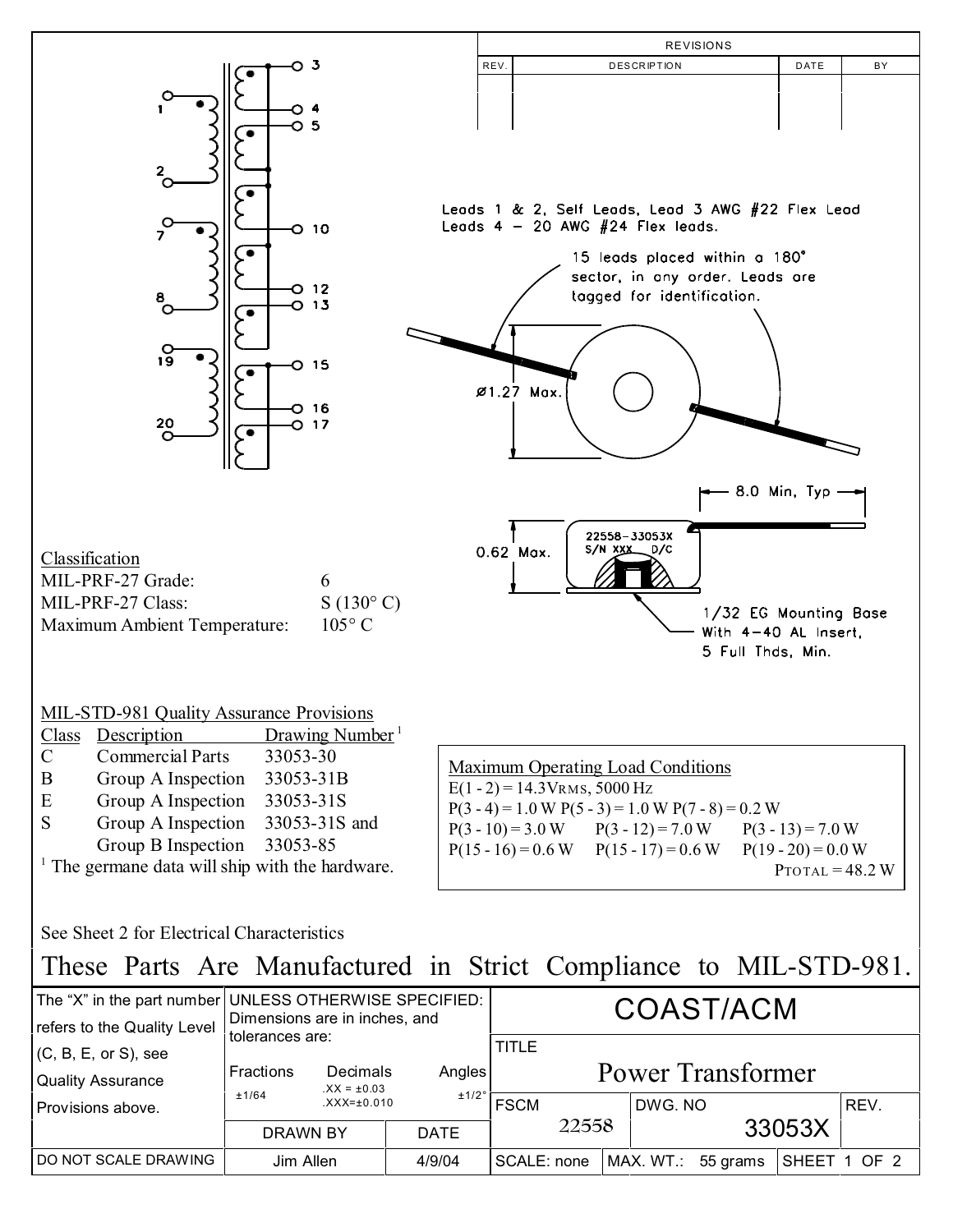

See Sheet 2 for Electrical Characteristics

These Parts Are Manufactured in Strict Compliance to MIL-STD-981.

| refers to the Quality Level                         | The "X" in the part number UNLESS OTHERWISE SPECIFIED:<br>Dimensions are in inches, and |                                      |                 | COAST/ACM                                |  |        |              |  |  |
|-----------------------------------------------------|-----------------------------------------------------------------------------------------|--------------------------------------|-----------------|------------------------------------------|--|--------|--------------|--|--|
| $(C, B, E, or S)$ , see<br><b>Quality Assurance</b> | tolerances are:<br>Fractions                                                            | Decimals                             | Angles<br>±1/2° | <b>TITLE</b><br><b>Power Transformer</b> |  |        |              |  |  |
| Provisions above.                                   | ±1/64                                                                                   | $XX = \pm 0.03$<br>$XXX = \pm 0.010$ |                 | <b>FSCM</b>                              |  |        | DWG. NO      |  |  |
|                                                     | <b>DRAWN BY</b>                                                                         |                                      | <b>DATE</b>     | 22558                                    |  | 33053X |              |  |  |
| I DO NOT SCALE DRAWING                              | Jim Allen                                                                               |                                      | 4/9/04          | MAX. WT.: 55 grams<br>SCALE: none        |  |        | SHEET 1 OF 2 |  |  |